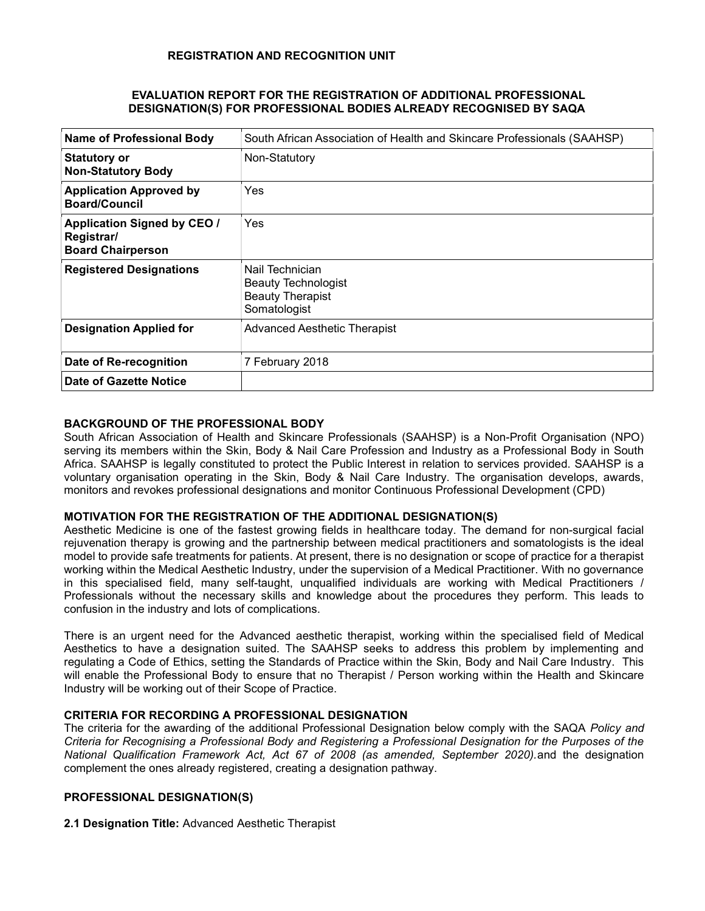#### EVALUATION REPORT FOR THE REGISTRATION OF ADDITIONAL PROFESSIONAL DESIGNATION(S) FOR PROFESSIONAL BODIES ALREADY RECOGNISED BY SAQA

| <b>Name of Professional Body</b>                                             | South African Association of Health and Skincare Professionals (SAAHSP)                  |  |
|------------------------------------------------------------------------------|------------------------------------------------------------------------------------------|--|
| <b>Statutory or</b><br><b>Non-Statutory Body</b>                             | Non-Statutory                                                                            |  |
| <b>Application Approved by</b><br><b>Board/Council</b>                       | Yes                                                                                      |  |
| <b>Application Signed by CEO /</b><br>Registrar/<br><b>Board Chairperson</b> | Yes                                                                                      |  |
| <b>Registered Designations</b>                                               | Nail Technician<br><b>Beauty Technologist</b><br><b>Beauty Therapist</b><br>Somatologist |  |
| <b>Designation Applied for</b>                                               | Advanced Aesthetic Therapist                                                             |  |
| Date of Re-recognition                                                       | 7 February 2018                                                                          |  |
| Date of Gazette Notice                                                       |                                                                                          |  |

# BACKGROUND OF THE PROFESSIONAL BODY

South African Association of Health and Skincare Professionals (SAAHSP) is a Non-Profit Organisation (NPO) serving its members within the Skin, Body & Nail Care Profession and Industry as a Professional Body in South Africa. SAAHSP is legally constituted to protect the Public Interest in relation to services provided. SAAHSP is a voluntary organisation operating in the Skin, Body & Nail Care Industry. The organisation develops, awards, monitors and revokes professional designations and monitor Continuous Professional Development (CPD)

#### MOTIVATION FOR THE REGISTRATION OF THE ADDITIONAL DESIGNATION(S)

Aesthetic Medicine is one of the fastest growing fields in healthcare today. The demand for non-surgical facial rejuvenation therapy is growing and the partnership between medical practitioners and somatologists is the ideal model to provide safe treatments for patients. At present, there is no designation or scope of practice for a therapist working within the Medical Aesthetic Industry, under the supervision of a Medical Practitioner. With no governance in this specialised field, many self-taught, unqualified individuals are working with Medical Practitioners / Professionals without the necessary skills and knowledge about the procedures they perform. This leads to confusion in the industry and lots of complications.

There is an urgent need for the Advanced aesthetic therapist, working within the specialised field of Medical Aesthetics to have a designation suited. The SAAHSP seeks to address this problem by implementing and regulating a Code of Ethics, setting the Standards of Practice within the Skin, Body and Nail Care Industry. This will enable the Professional Body to ensure that no Therapist / Person working within the Health and Skincare Industry will be working out of their Scope of Practice.

# CRITERIA FOR RECORDING A PROFESSIONAL DESIGNATION

The criteria for the awarding of the additional Professional Designation below comply with the SAQA Policy and Criteria for Recognising a Professional Body and Registering a Professional Designation for the Purposes of the National Qualification Framework Act, Act 67 of 2008 (as amended, September 2020).and the designation complement the ones already registered, creating a designation pathway.

### PROFESSIONAL DESIGNATION(S)

2.1 Designation Title: Advanced Aesthetic Therapist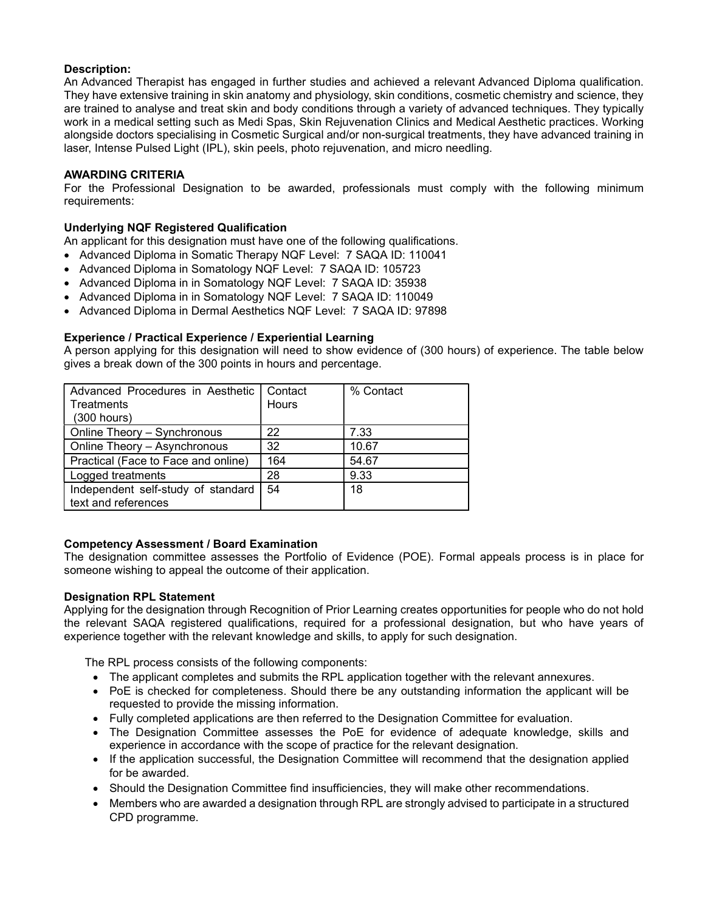# Description:

An Advanced Therapist has engaged in further studies and achieved a relevant Advanced Diploma qualification. They have extensive training in skin anatomy and physiology, skin conditions, cosmetic chemistry and science, they are trained to analyse and treat skin and body conditions through a variety of advanced techniques. They typically work in a medical setting such as Medi Spas, Skin Rejuvenation Clinics and Medical Aesthetic practices. Working alongside doctors specialising in Cosmetic Surgical and/or non-surgical treatments, they have advanced training in laser, Intense Pulsed Light (IPL), skin peels, photo rejuvenation, and micro needling.

### AWARDING CRITERIA

For the Professional Designation to be awarded, professionals must comply with the following minimum requirements:

# Underlying NQF Registered Qualification

An applicant for this designation must have one of the following qualifications.

- Advanced Diploma in Somatic Therapy NQF Level: 7 SAQA ID: 110041
- Advanced Diploma in Somatology NQF Level: 7 SAQA ID: 105723
- Advanced Diploma in in Somatology NQF Level: 7 SAQA ID: 35938
- Advanced Diploma in in Somatology NQF Level: 7 SAQA ID: 110049
- Advanced Diploma in Dermal Aesthetics NQF Level: 7 SAQA ID: 97898

# Experience / Practical Experience / Experiential Learning

A person applying for this designation will need to show evidence of (300 hours) of experience. The table below gives a break down of the 300 points in hours and percentage.

| Advanced Procedures in Aesthetic   Contact<br>Treatments<br>$(300$ hours) | <b>Hours</b> | % Contact |
|---------------------------------------------------------------------------|--------------|-----------|
| Online Theory - Synchronous                                               | 22           | 7.33      |
| Online Theory - Asynchronous                                              | 32           | 10.67     |
| Practical (Face to Face and online)                                       | 164          | 54.67     |
| Logged treatments                                                         | 28           | 9.33      |
| Independent self-study of standard<br>text and references                 | 54           | 18        |

#### Competency Assessment / Board Examination

The designation committee assesses the Portfolio of Evidence (POE). Formal appeals process is in place for someone wishing to appeal the outcome of their application.

#### Designation RPL Statement

Applying for the designation through Recognition of Prior Learning creates opportunities for people who do not hold the relevant SAQA registered qualifications, required for a professional designation, but who have years of experience together with the relevant knowledge and skills, to apply for such designation.

The RPL process consists of the following components:

- The applicant completes and submits the RPL application together with the relevant annexures.
- PoE is checked for completeness. Should there be any outstanding information the applicant will be requested to provide the missing information.
- Fully completed applications are then referred to the Designation Committee for evaluation.
- The Designation Committee assesses the PoE for evidence of adequate knowledge, skills and experience in accordance with the scope of practice for the relevant designation.
- If the application successful, the Designation Committee will recommend that the designation applied for be awarded.
- Should the Designation Committee find insufficiencies, they will make other recommendations.
- Members who are awarded a designation through RPL are strongly advised to participate in a structured CPD programme.